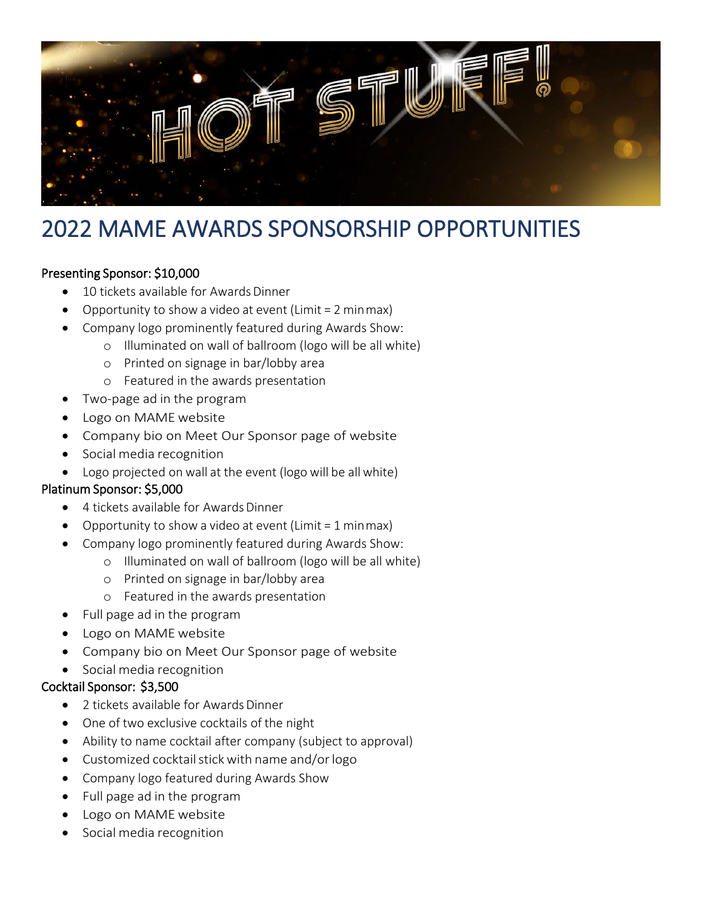

# 2022 MAME AWARDS SPONSORSHIP OPPORTUNITIES

## Presenting Sponsor: \$10,000

- 10 tickets available for Awards Dinner
- Opportunity to show a video at event (Limit = 2 minmax)
- Company logo prominently featured during Awards Show:
	- o Illuminated on wall of ballroom (logo will be all white)
	- o Printed on signage in bar/lobby area
	- o Featured in the awards presentation
- Two-page ad in the program
- Logo on MAMEwebsite
- Company bio on Meet Our Sponsor page of website
- Social media recognition
- Logo projected on wall at the event (logo will be allwhite)

## Platinum Sponsor: \$5,000

- 4 tickets available for Awards Dinner
- Opportunity to show a video at event (Limit  $= 1$  minmax)
- Company logo prominently featured during Awards Show:
	- o Illuminated on wall of ballroom (logo will be all white)
	- o Printed on signage in bar/lobby area
	- o Featured in the awards presentation
- Full page ad in the program
- Logo on MAMEwebsite
- Company bio on Meet Our Sponsor page of website
- Social media recognition

#### Cocktail Sponsor: \$3,500

- 2 tickets available for Awards Dinner
- One of two exclusive cocktails of the night
- Ability to name cocktail after company (subject to approval)
- Customized cocktail stick with name and/or logo
- Company logo featured during Awards Show
- Full page ad in the program
- Logo on MAMEwebsite
- Social media recognition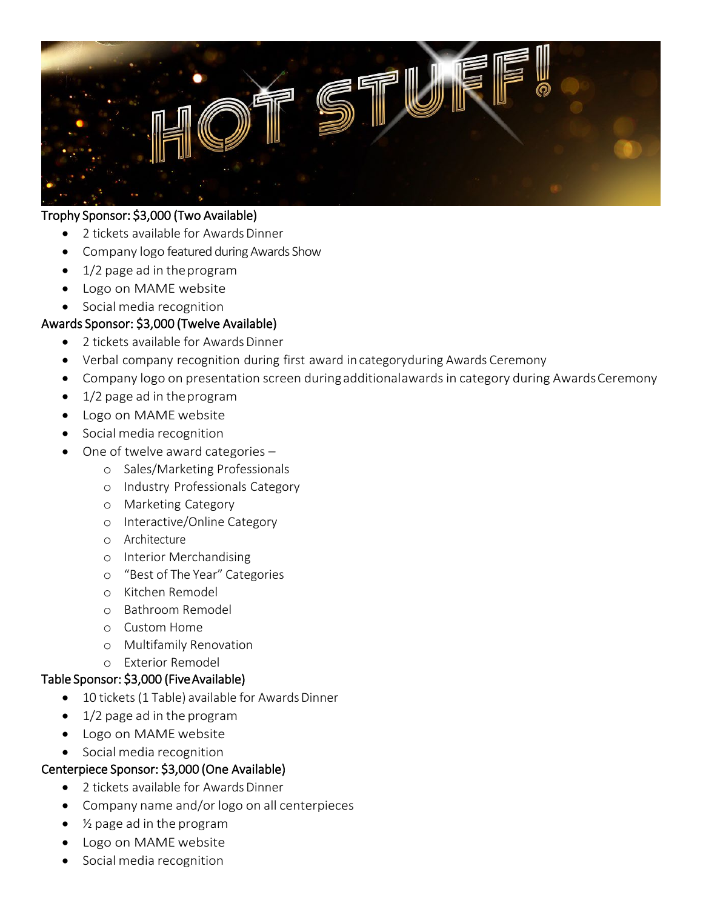

### Trophy Sponsor: \$3,000 (Two Available)

- 2 tickets available for Awards Dinner
- Company logo featured during Awards Show
- 1/2 page ad in theprogram
- Logo on MAME website
- Social media recognition

### Awards Sponsor: \$3,000 (Twelve Available)

- 2 tickets available for Awards Dinner
- Verbal company recognition during first award in categoryduring Awards Ceremony
- Company logo on presentation screen during additionalawards in category during Awards Ceremony
- 1/2 page ad in theprogram
- Logo on MAMEwebsite
- Social media recognition
- One of twelve award categories
	- o Sales/Marketing Professionals
	- o Industry Professionals Category
	- o Marketing Category
	- o Interactive/Online Category
	- o Architecture
	- o Interior Merchandising
	- o "Best of The Year" Categories
	- o Kitchen Remodel
	- o Bathroom Remodel
	- o Custom Home
	- o Multifamily Renovation
	- o Exterior Remodel

#### Table Sponsor: \$3,000 (Five Available)

- 10 tickets (1 Table) available for Awards Dinner
- 1/2 page ad in the program
- Logo on MAMEwebsite
- Social media recognition

#### Centerpiece Sponsor: \$3,000 (One Available)

- 2 tickets available for Awards Dinner
- Company name and/or logo on all centerpieces
- ½ page ad in the program
- Logo on MAMEwebsite
- Social media recognition